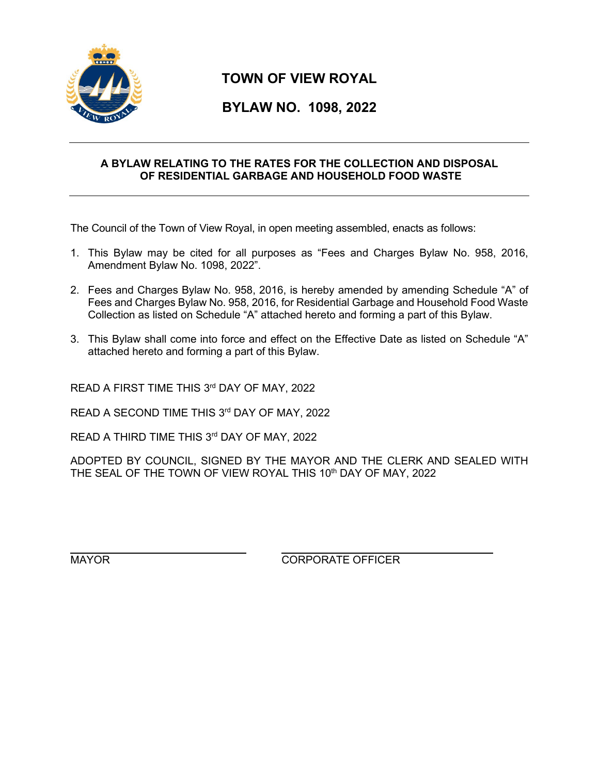

## **TOWN OF VIEW ROYAL**

## **BYLAW NO. 1098, 2022**

## **A BYLAW RELATING TO THE RATES FOR THE COLLECTION AND DISPOSAL OF RESIDENTIAL GARBAGE AND HOUSEHOLD FOOD WASTE**

The Council of the Town of View Royal, in open meeting assembled, enacts as follows:

- 1. This Bylaw may be cited for all purposes as "Fees and Charges Bylaw No. 958, 2016, Amendment Bylaw No. 1098, 2022".
- 2. Fees and Charges Bylaw No. 958, 2016, is hereby amended by amending Schedule "A" of Fees and Charges Bylaw No. 958, 2016, for Residential Garbage and Household Food Waste Collection as listed on Schedule "A" attached hereto and forming a part of this Bylaw.
- 3. This Bylaw shall come into force and effect on the Effective Date as listed on Schedule "A" attached hereto and forming a part of this Bylaw.

READ A FIRST TIME THIS 3rd DAY OF MAY, 2022

READ A SECOND TIME THIS 3rd DAY OF MAY, 2022

READ A THIRD TIME THIS 3rd DAY OF MAY, 2022

ADOPTED BY COUNCIL, SIGNED BY THE MAYOR AND THE CLERK AND SEALED WITH THE SEAL OF THE TOWN OF VIEW ROYAL THIS 10<sup>th</sup> DAY OF MAY, 2022

MAYOR CORPORATE OFFICER